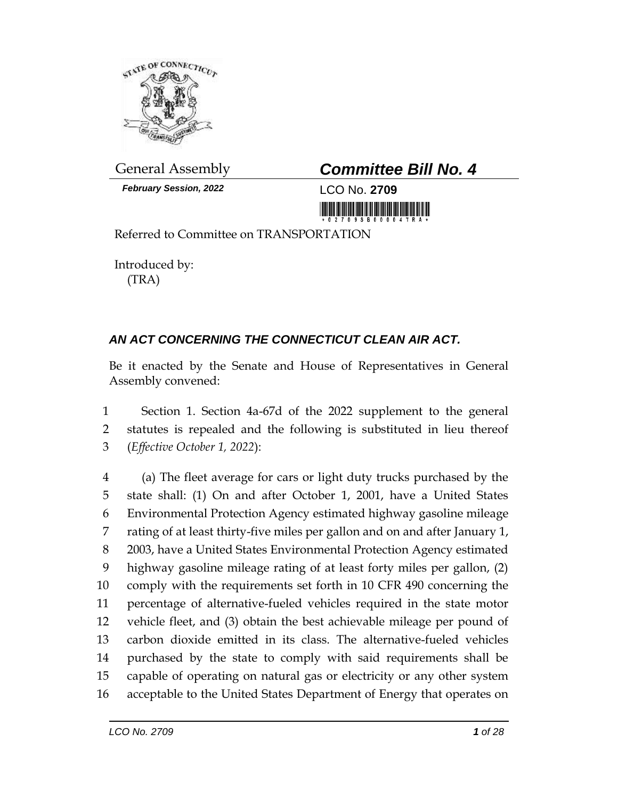

*February Session, 2022* LCO No. **2709**





Referred to Committee on TRANSPORTATION

Introduced by: (TRA)

# *AN ACT CONCERNING THE CONNECTICUT CLEAN AIR ACT.*

Be it enacted by the Senate and House of Representatives in General Assembly convened:

 Section 1. Section 4a-67d of the 2022 supplement to the general statutes is repealed and the following is substituted in lieu thereof (*Effective October 1, 2022*):

 (a) The fleet average for cars or light duty trucks purchased by the state shall: (1) On and after October 1, 2001, have a United States Environmental Protection Agency estimated highway gasoline mileage rating of at least thirty-five miles per gallon and on and after January 1, 2003, have a United States Environmental Protection Agency estimated highway gasoline mileage rating of at least forty miles per gallon, (2) comply with the requirements set forth in 10 CFR 490 concerning the percentage of alternative-fueled vehicles required in the state motor vehicle fleet, and (3) obtain the best achievable mileage per pound of carbon dioxide emitted in its class. The alternative-fueled vehicles purchased by the state to comply with said requirements shall be capable of operating on natural gas or electricity or any other system acceptable to the United States Department of Energy that operates on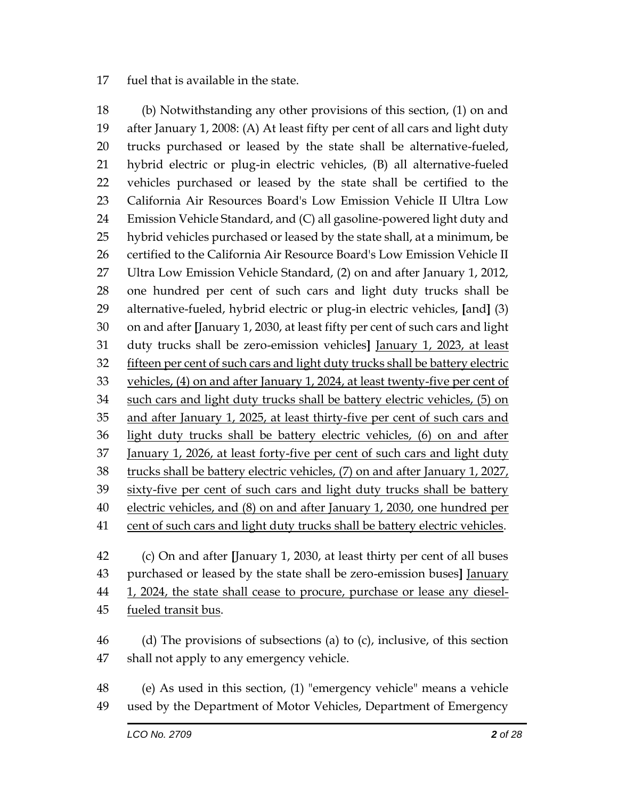#### fuel that is available in the state.

 (b) Notwithstanding any other provisions of this section, (1) on and after January 1, 2008: (A) At least fifty per cent of all cars and light duty trucks purchased or leased by the state shall be alternative-fueled, hybrid electric or plug-in electric vehicles, (B) all alternative-fueled vehicles purchased or leased by the state shall be certified to the California Air Resources Board's Low Emission Vehicle II Ultra Low Emission Vehicle Standard, and (C) all gasoline-powered light duty and hybrid vehicles purchased or leased by the state shall, at a minimum, be certified to the California Air Resource Board's Low Emission Vehicle II Ultra Low Emission Vehicle Standard, (2) on and after January 1, 2012, one hundred per cent of such cars and light duty trucks shall be alternative-fueled, hybrid electric or plug-in electric vehicles, **[**and**]** (3) on and after **[**January 1, 2030, at least fifty per cent of such cars and light duty trucks shall be zero-emission vehicles**]** January 1, 2023, at least fifteen per cent of such cars and light duty trucks shall be battery electric 33 vehicles, (4) on and after January 1, 2024, at least twenty-five per cent of such cars and light duty trucks shall be battery electric vehicles, (5) on 35 and after January 1, 2025, at least thirty-five per cent of such cars and light duty trucks shall be battery electric vehicles, (6) on and after January 1, 2026, at least forty-five per cent of such cars and light duty trucks shall be battery electric vehicles, (7) on and after January 1, 2027, sixty-five per cent of such cars and light duty trucks shall be battery electric vehicles, and (8) on and after January 1, 2030, one hundred per cent of such cars and light duty trucks shall be battery electric vehicles. (c) On and after **[**January 1, 2030, at least thirty per cent of all buses purchased or leased by the state shall be zero-emission buses**]** January

- 44 1, 2024, the state shall cease to procure, purchase or lease any diesel-45 fueled transit bus.
- (d) The provisions of subsections (a) to (c), inclusive, of this section shall not apply to any emergency vehicle.
- (e) As used in this section, (1) "emergency vehicle" means a vehicle used by the Department of Motor Vehicles, Department of Emergency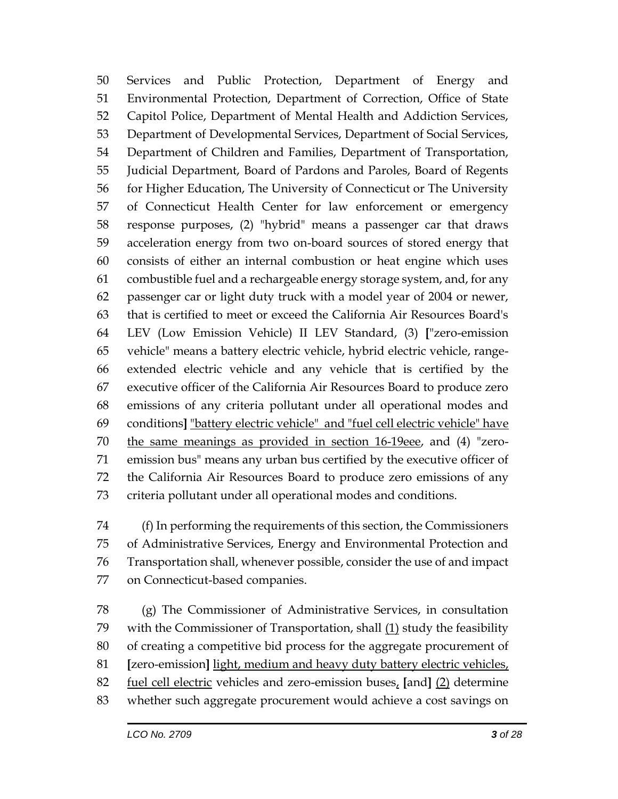Services and Public Protection, Department of Energy and Environmental Protection, Department of Correction, Office of State Capitol Police, Department of Mental Health and Addiction Services, Department of Developmental Services, Department of Social Services, Department of Children and Families, Department of Transportation, Judicial Department, Board of Pardons and Paroles, Board of Regents for Higher Education, The University of Connecticut or The University of Connecticut Health Center for law enforcement or emergency response purposes, (2) "hybrid" means a passenger car that draws acceleration energy from two on-board sources of stored energy that consists of either an internal combustion or heat engine which uses combustible fuel and a rechargeable energy storage system, and, for any passenger car or light duty truck with a model year of 2004 or newer, that is certified to meet or exceed the California Air Resources Board's LEV (Low Emission Vehicle) II LEV Standard, (3) **[**"zero-emission vehicle" means a battery electric vehicle, hybrid electric vehicle, range- extended electric vehicle and any vehicle that is certified by the executive officer of the California Air Resources Board to produce zero emissions of any criteria pollutant under all operational modes and conditions**]** "battery electric vehicle" and "fuel cell electric vehicle" have the same meanings as provided in section 16-19eee, and (4) "zero- emission bus" means any urban bus certified by the executive officer of the California Air Resources Board to produce zero emissions of any criteria pollutant under all operational modes and conditions.

 (f) In performing the requirements of this section, the Commissioners of Administrative Services, Energy and Environmental Protection and Transportation shall, whenever possible, consider the use of and impact on Connecticut-based companies.

 (g) The Commissioner of Administrative Services, in consultation with the Commissioner of Transportation, shall (1) study the feasibility of creating a competitive bid process for the aggregate procurement of **[**zero-emission**]** light, medium and heavy duty battery electric vehicles, fuel cell electric vehicles and zero-emission buses, **[**and**]** (2) determine whether such aggregate procurement would achieve a cost savings on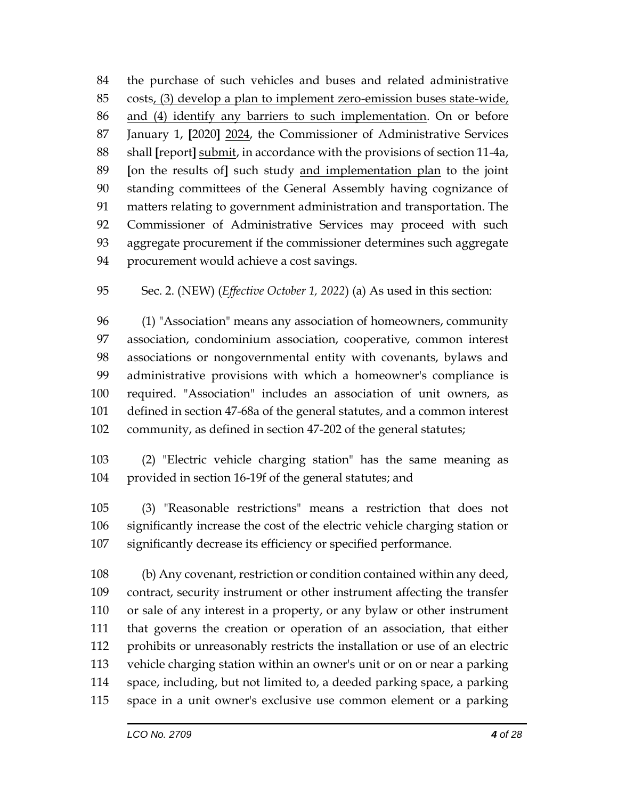the purchase of such vehicles and buses and related administrative costs, (3) develop a plan to implement zero-emission buses state-wide, and (4) identify any barriers to such implementation. On or before January 1, **[**2020**]** 2024, the Commissioner of Administrative Services shall **[**report**]** submit, in accordance with the provisions of section 11-4a, **[**on the results of**]** such study and implementation plan to the joint standing committees of the General Assembly having cognizance of matters relating to government administration and transportation. The Commissioner of Administrative Services may proceed with such aggregate procurement if the commissioner determines such aggregate procurement would achieve a cost savings.

Sec. 2. (NEW) (*Effective October 1, 2022*) (a) As used in this section:

 (1) "Association" means any association of homeowners, community association, condominium association, cooperative, common interest associations or nongovernmental entity with covenants, bylaws and administrative provisions with which a homeowner's compliance is required. "Association" includes an association of unit owners, as defined in section 47-68a of the general statutes, and a common interest community, as defined in section 47-202 of the general statutes;

 (2) "Electric vehicle charging station" has the same meaning as provided in section 16-19f of the general statutes; and

 (3) "Reasonable restrictions" means a restriction that does not significantly increase the cost of the electric vehicle charging station or significantly decrease its efficiency or specified performance.

 (b) Any covenant, restriction or condition contained within any deed, contract, security instrument or other instrument affecting the transfer or sale of any interest in a property, or any bylaw or other instrument that governs the creation or operation of an association, that either prohibits or unreasonably restricts the installation or use of an electric vehicle charging station within an owner's unit or on or near a parking space, including, but not limited to, a deeded parking space, a parking space in a unit owner's exclusive use common element or a parking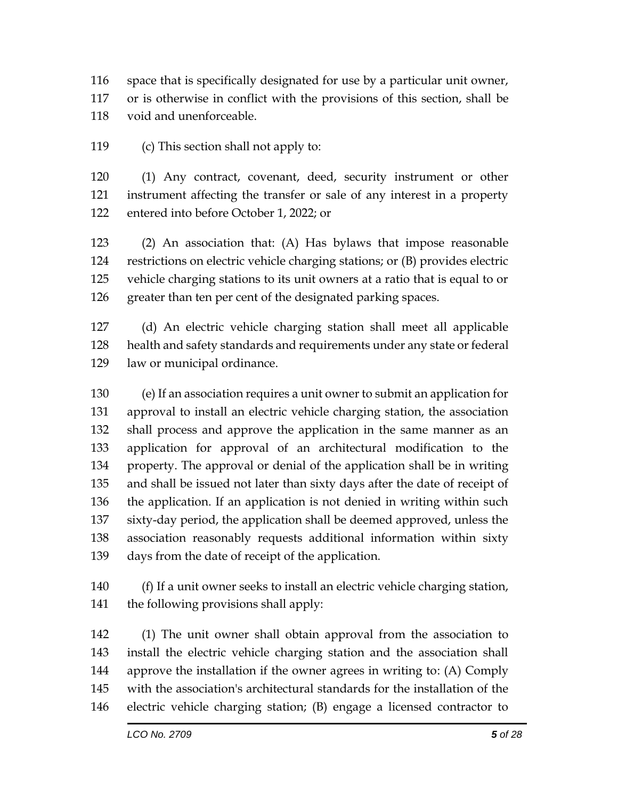space that is specifically designated for use by a particular unit owner,

or is otherwise in conflict with the provisions of this section, shall be

void and unenforceable.

(c) This section shall not apply to:

 (1) Any contract, covenant, deed, security instrument or other instrument affecting the transfer or sale of any interest in a property entered into before October 1, 2022; or

 (2) An association that: (A) Has bylaws that impose reasonable restrictions on electric vehicle charging stations; or (B) provides electric vehicle charging stations to its unit owners at a ratio that is equal to or 126 greater than ten per cent of the designated parking spaces.

 (d) An electric vehicle charging station shall meet all applicable health and safety standards and requirements under any state or federal law or municipal ordinance.

 (e) If an association requires a unit owner to submit an application for approval to install an electric vehicle charging station, the association shall process and approve the application in the same manner as an application for approval of an architectural modification to the property. The approval or denial of the application shall be in writing and shall be issued not later than sixty days after the date of receipt of the application. If an application is not denied in writing within such sixty-day period, the application shall be deemed approved, unless the association reasonably requests additional information within sixty days from the date of receipt of the application.

 (f) If a unit owner seeks to install an electric vehicle charging station, the following provisions shall apply:

 (1) The unit owner shall obtain approval from the association to install the electric vehicle charging station and the association shall approve the installation if the owner agrees in writing to: (A) Comply with the association's architectural standards for the installation of the electric vehicle charging station; (B) engage a licensed contractor to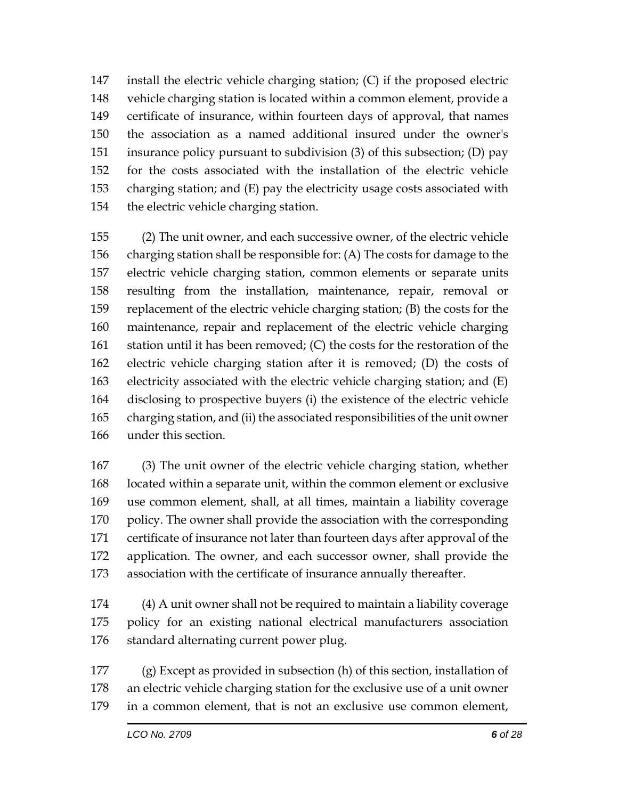install the electric vehicle charging station; (C) if the proposed electric vehicle charging station is located within a common element, provide a certificate of insurance, within fourteen days of approval, that names the association as a named additional insured under the owner's insurance policy pursuant to subdivision (3) of this subsection; (D) pay for the costs associated with the installation of the electric vehicle charging station; and (E) pay the electricity usage costs associated with the electric vehicle charging station.

 (2) The unit owner, and each successive owner, of the electric vehicle charging station shall be responsible for: (A) The costs for damage to the electric vehicle charging station, common elements or separate units resulting from the installation, maintenance, repair, removal or replacement of the electric vehicle charging station; (B) the costs for the maintenance, repair and replacement of the electric vehicle charging station until it has been removed; (C) the costs for the restoration of the electric vehicle charging station after it is removed; (D) the costs of electricity associated with the electric vehicle charging station; and (E) disclosing to prospective buyers (i) the existence of the electric vehicle charging station, and (ii) the associated responsibilities of the unit owner under this section.

 (3) The unit owner of the electric vehicle charging station, whether located within a separate unit, within the common element or exclusive use common element, shall, at all times, maintain a liability coverage 170 policy. The owner shall provide the association with the corresponding certificate of insurance not later than fourteen days after approval of the application. The owner, and each successor owner, shall provide the association with the certificate of insurance annually thereafter.

 (4) A unit owner shall not be required to maintain a liability coverage policy for an existing national electrical manufacturers association 176 standard alternating current power plug.

 (g) Except as provided in subsection (h) of this section, installation of an electric vehicle charging station for the exclusive use of a unit owner in a common element, that is not an exclusive use common element,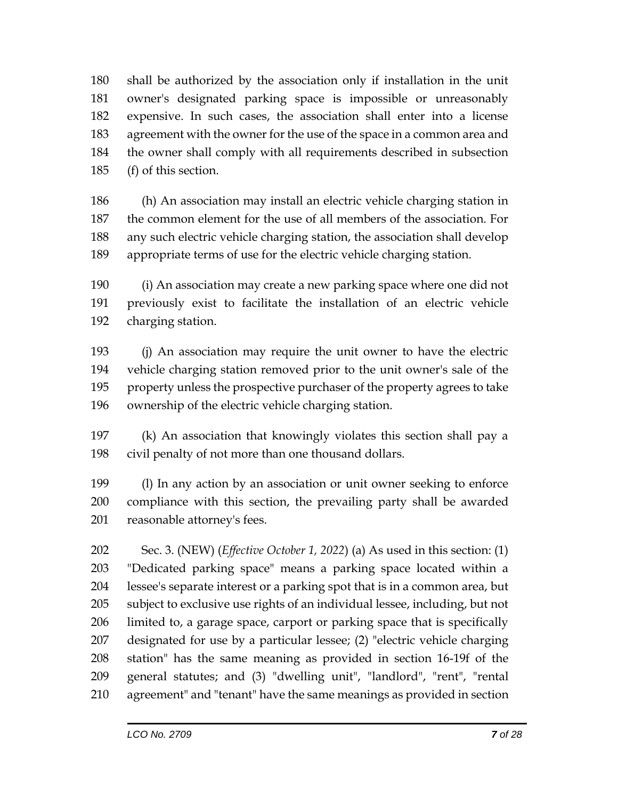shall be authorized by the association only if installation in the unit owner's designated parking space is impossible or unreasonably expensive. In such cases, the association shall enter into a license agreement with the owner for the use of the space in a common area and the owner shall comply with all requirements described in subsection (f) of this section.

 (h) An association may install an electric vehicle charging station in the common element for the use of all members of the association. For any such electric vehicle charging station, the association shall develop appropriate terms of use for the electric vehicle charging station.

 (i) An association may create a new parking space where one did not previously exist to facilitate the installation of an electric vehicle charging station.

 (j) An association may require the unit owner to have the electric vehicle charging station removed prior to the unit owner's sale of the property unless the prospective purchaser of the property agrees to take ownership of the electric vehicle charging station.

 (k) An association that knowingly violates this section shall pay a civil penalty of not more than one thousand dollars.

 (l) In any action by an association or unit owner seeking to enforce compliance with this section, the prevailing party shall be awarded reasonable attorney's fees.

 Sec. 3. (NEW) (*Effective October 1, 2022*) (a) As used in this section: (1) "Dedicated parking space" means a parking space located within a lessee's separate interest or a parking spot that is in a common area, but subject to exclusive use rights of an individual lessee, including, but not limited to, a garage space, carport or parking space that is specifically designated for use by a particular lessee; (2) "electric vehicle charging station" has the same meaning as provided in section 16-19f of the general statutes; and (3) "dwelling unit", "landlord", "rent", "rental agreement" and "tenant" have the same meanings as provided in section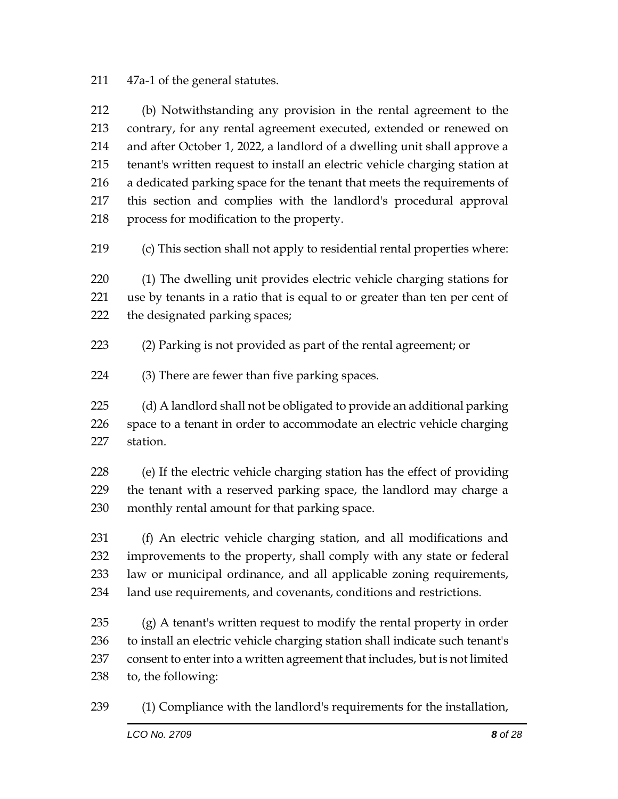#### 47a-1 of the general statutes.

 (b) Notwithstanding any provision in the rental agreement to the contrary, for any rental agreement executed, extended or renewed on and after October 1, 2022, a landlord of a dwelling unit shall approve a tenant's written request to install an electric vehicle charging station at a dedicated parking space for the tenant that meets the requirements of this section and complies with the landlord's procedural approval process for modification to the property.

(c) This section shall not apply to residential rental properties where:

 (1) The dwelling unit provides electric vehicle charging stations for use by tenants in a ratio that is equal to or greater than ten per cent of the designated parking spaces;

- (2) Parking is not provided as part of the rental agreement; or
- (3) There are fewer than five parking spaces.

 (d) A landlord shall not be obligated to provide an additional parking space to a tenant in order to accommodate an electric vehicle charging station.

 (e) If the electric vehicle charging station has the effect of providing the tenant with a reserved parking space, the landlord may charge a monthly rental amount for that parking space.

 (f) An electric vehicle charging station, and all modifications and improvements to the property, shall comply with any state or federal law or municipal ordinance, and all applicable zoning requirements, land use requirements, and covenants, conditions and restrictions.

 (g) A tenant's written request to modify the rental property in order to install an electric vehicle charging station shall indicate such tenant's consent to enter into a written agreement that includes, but is not limited to, the following:

(1) Compliance with the landlord's requirements for the installation,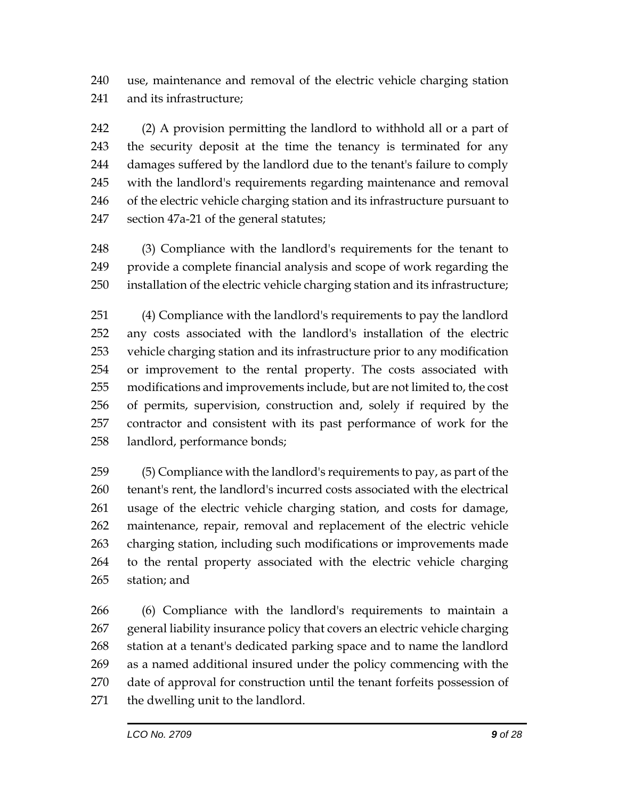use, maintenance and removal of the electric vehicle charging station and its infrastructure;

 (2) A provision permitting the landlord to withhold all or a part of the security deposit at the time the tenancy is terminated for any damages suffered by the landlord due to the tenant's failure to comply with the landlord's requirements regarding maintenance and removal of the electric vehicle charging station and its infrastructure pursuant to section 47a-21 of the general statutes;

 (3) Compliance with the landlord's requirements for the tenant to provide a complete financial analysis and scope of work regarding the installation of the electric vehicle charging station and its infrastructure;

 (4) Compliance with the landlord's requirements to pay the landlord any costs associated with the landlord's installation of the electric vehicle charging station and its infrastructure prior to any modification or improvement to the rental property. The costs associated with modifications and improvements include, but are not limited to, the cost of permits, supervision, construction and, solely if required by the contractor and consistent with its past performance of work for the landlord, performance bonds;

 (5) Compliance with the landlord's requirements to pay, as part of the tenant's rent, the landlord's incurred costs associated with the electrical usage of the electric vehicle charging station, and costs for damage, maintenance, repair, removal and replacement of the electric vehicle charging station, including such modifications or improvements made to the rental property associated with the electric vehicle charging station; and

 (6) Compliance with the landlord's requirements to maintain a general liability insurance policy that covers an electric vehicle charging station at a tenant's dedicated parking space and to name the landlord as a named additional insured under the policy commencing with the date of approval for construction until the tenant forfeits possession of the dwelling unit to the landlord.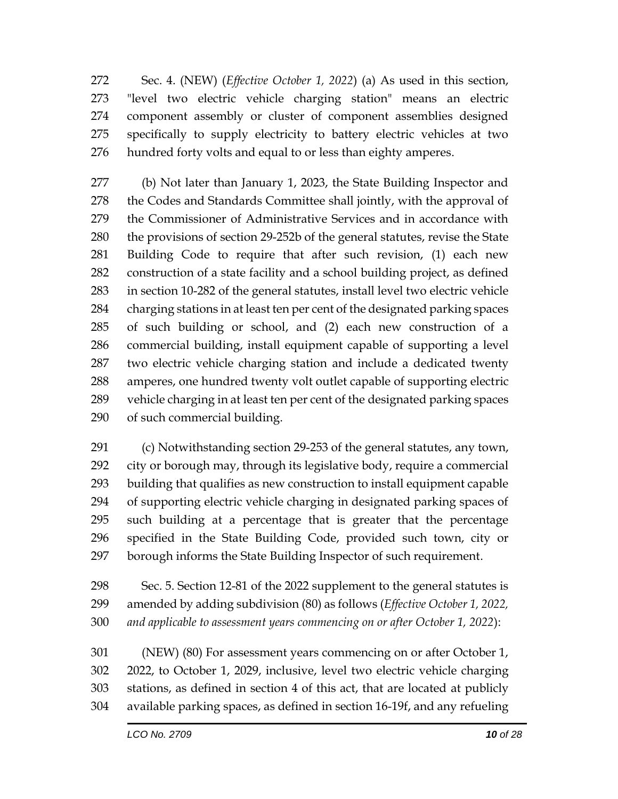Sec. 4. (NEW) (*Effective October 1, 2022*) (a) As used in this section, "level two electric vehicle charging station" means an electric component assembly or cluster of component assemblies designed specifically to supply electricity to battery electric vehicles at two hundred forty volts and equal to or less than eighty amperes.

 (b) Not later than January 1, 2023, the State Building Inspector and 278 the Codes and Standards Committee shall jointly, with the approval of the Commissioner of Administrative Services and in accordance with the provisions of section 29-252b of the general statutes, revise the State Building Code to require that after such revision, (1) each new construction of a state facility and a school building project, as defined in section 10-282 of the general statutes, install level two electric vehicle charging stations in at least ten per cent of the designated parking spaces of such building or school, and (2) each new construction of a commercial building, install equipment capable of supporting a level two electric vehicle charging station and include a dedicated twenty amperes, one hundred twenty volt outlet capable of supporting electric vehicle charging in at least ten per cent of the designated parking spaces of such commercial building.

 (c) Notwithstanding section 29-253 of the general statutes, any town, city or borough may, through its legislative body, require a commercial building that qualifies as new construction to install equipment capable of supporting electric vehicle charging in designated parking spaces of such building at a percentage that is greater that the percentage specified in the State Building Code, provided such town, city or borough informs the State Building Inspector of such requirement.

 Sec. 5. Section 12-81 of the 2022 supplement to the general statutes is amended by adding subdivision (80) as follows (*Effective October 1, 2022, and applicable to assessment years commencing on or after October 1, 2022*):

 (NEW) (80) For assessment years commencing on or after October 1, 2022, to October 1, 2029, inclusive, level two electric vehicle charging stations, as defined in section 4 of this act, that are located at publicly available parking spaces, as defined in section 16-19f, and any refueling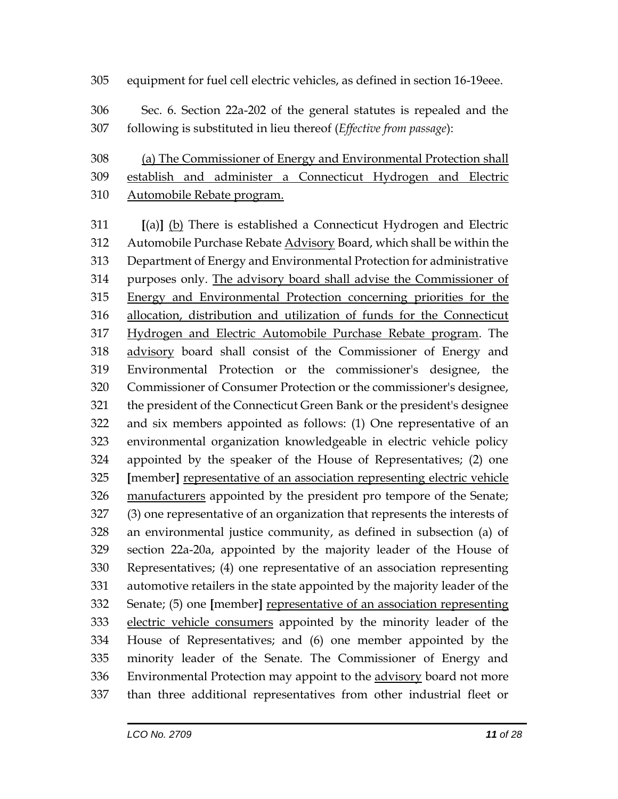### equipment for fuel cell electric vehicles, as defined in section 16-19eee.

 Sec. 6. Section 22a-202 of the general statutes is repealed and the following is substituted in lieu thereof (*Effective from passage*):

 (a) The Commissioner of Energy and Environmental Protection shall establish and administer a Connecticut Hydrogen and Electric Automobile Rebate program.

 **[**(a)**]** (b) There is established a Connecticut Hydrogen and Electric 312 Automobile Purchase Rebate Advisory Board, which shall be within the Department of Energy and Environmental Protection for administrative purposes only. The advisory board shall advise the Commissioner of Energy and Environmental Protection concerning priorities for the allocation, distribution and utilization of funds for the Connecticut Hydrogen and Electric Automobile Purchase Rebate program. The advisory board shall consist of the Commissioner of Energy and Environmental Protection or the commissioner's designee, the Commissioner of Consumer Protection or the commissioner's designee, the president of the Connecticut Green Bank or the president's designee and six members appointed as follows: (1) One representative of an environmental organization knowledgeable in electric vehicle policy appointed by the speaker of the House of Representatives; (2) one **[**member**]** representative of an association representing electric vehicle 326 manufacturers appointed by the president pro tempore of the Senate; (3) one representative of an organization that represents the interests of an environmental justice community, as defined in subsection (a) of section 22a-20a, appointed by the majority leader of the House of Representatives; (4) one representative of an association representing automotive retailers in the state appointed by the majority leader of the Senate; (5) one **[**member**]** representative of an association representing electric vehicle consumers appointed by the minority leader of the House of Representatives; and (6) one member appointed by the minority leader of the Senate. The Commissioner of Energy and Environmental Protection may appoint to the advisory board not more than three additional representatives from other industrial fleet or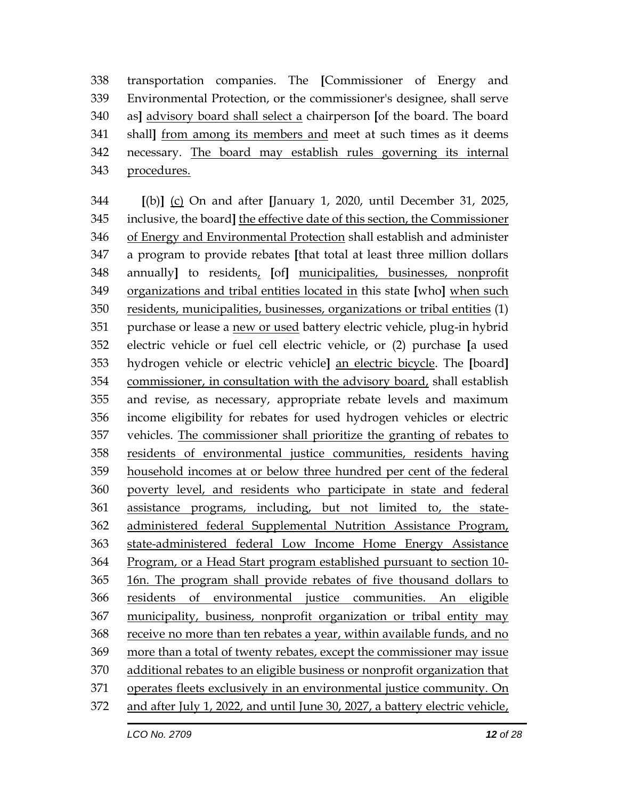transportation companies. The **[**Commissioner of Energy and Environmental Protection, or the commissioner's designee, shall serve as**]** advisory board shall select a chairperson **[**of the board. The board shall**]** from among its members and meet at such times as it deems necessary. The board may establish rules governing its internal procedures.

 **[**(b)**]** (c) On and after **[**January 1, 2020, until December 31, 2025, inclusive, the board**]** the effective date of this section, the Commissioner of Energy and Environmental Protection shall establish and administer a program to provide rebates **[**that total at least three million dollars annually**]** to residents, **[**of**]** municipalities, businesses, nonprofit organizations and tribal entities located in this state **[**who**]** when such residents, municipalities, businesses, organizations or tribal entities (1) 351 purchase or lease a new or used battery electric vehicle, plug-in hybrid electric vehicle or fuel cell electric vehicle, or (2) purchase **[**a used hydrogen vehicle or electric vehicle**]** an electric bicycle. The **[**board**]** commissioner, in consultation with the advisory board, shall establish and revise, as necessary, appropriate rebate levels and maximum income eligibility for rebates for used hydrogen vehicles or electric vehicles. The commissioner shall prioritize the granting of rebates to residents of environmental justice communities, residents having household incomes at or below three hundred per cent of the federal poverty level, and residents who participate in state and federal assistance programs, including, but not limited to, the state- administered federal Supplemental Nutrition Assistance Program, state-administered federal Low Income Home Energy Assistance Program, or a Head Start program established pursuant to section 10- 16n. The program shall provide rebates of five thousand dollars to residents of environmental justice communities. An eligible municipality, business, nonprofit organization or tribal entity may 368 receive no more than ten rebates a year, within available funds, and no more than a total of twenty rebates, except the commissioner may issue additional rebates to an eligible business or nonprofit organization that operates fleets exclusively in an environmental justice community. On and after July 1, 2022, and until June 30, 2027, a battery electric vehicle,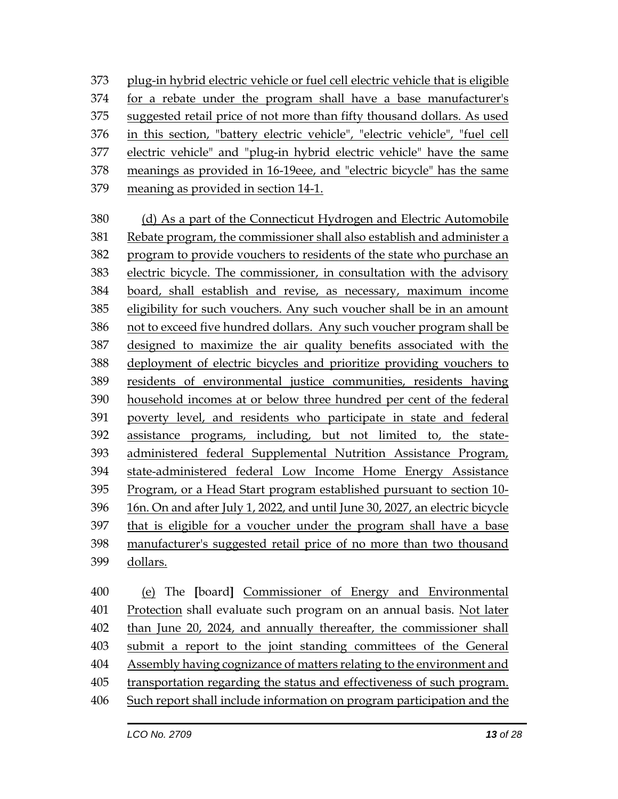plug-in hybrid electric vehicle or fuel cell electric vehicle that is eligible for a rebate under the program shall have a base manufacturer's suggested retail price of not more than fifty thousand dollars. As used in this section, "battery electric vehicle", "electric vehicle", "fuel cell electric vehicle" and "plug-in hybrid electric vehicle" have the same meanings as provided in 16-19eee, and "electric bicycle" has the same meaning as provided in section 14-1.

 (d) As a part of the Connecticut Hydrogen and Electric Automobile Rebate program, the commissioner shall also establish and administer a program to provide vouchers to residents of the state who purchase an electric bicycle. The commissioner, in consultation with the advisory board, shall establish and revise, as necessary, maximum income eligibility for such vouchers. Any such voucher shall be in an amount not to exceed five hundred dollars. Any such voucher program shall be designed to maximize the air quality benefits associated with the deployment of electric bicycles and prioritize providing vouchers to residents of environmental justice communities, residents having household incomes at or below three hundred per cent of the federal poverty level, and residents who participate in state and federal assistance programs, including, but not limited to, the state- administered federal Supplemental Nutrition Assistance Program, state-administered federal Low Income Home Energy Assistance Program, or a Head Start program established pursuant to section 10- 16n. On and after July 1, 2022, and until June 30, 2027, an electric bicycle that is eligible for a voucher under the program shall have a base manufacturer's suggested retail price of no more than two thousand dollars.

 (e) The **[**board**]** Commissioner of Energy and Environmental Protection shall evaluate such program on an annual basis. Not later than June 20, 2024, and annually thereafter, the commissioner shall submit a report to the joint standing committees of the General 404 Assembly having cognizance of matters relating to the environment and transportation regarding the status and effectiveness of such program. Such report shall include information on program participation and the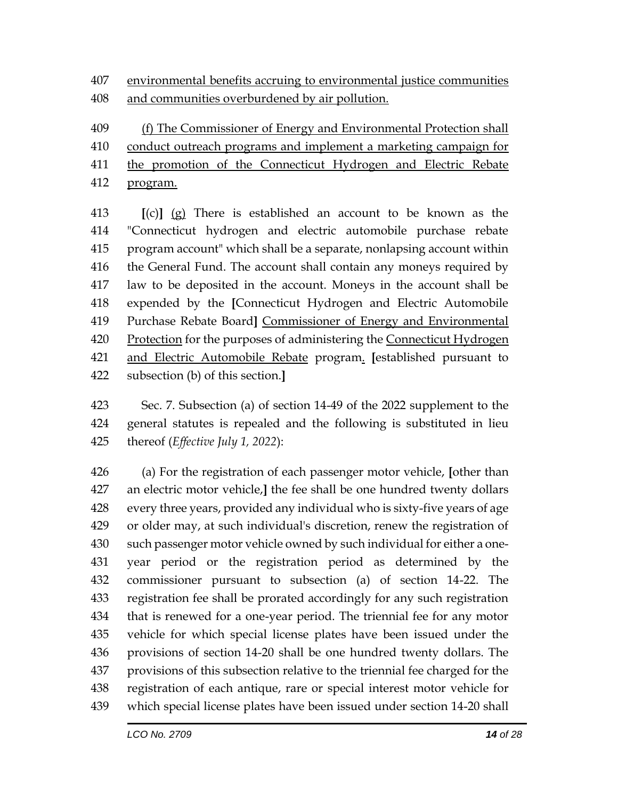environmental benefits accruing to environmental justice communities and communities overburdened by air pollution.

(f) The Commissioner of Energy and Environmental Protection shall

- conduct outreach programs and implement a marketing campaign for
- the promotion of the Connecticut Hydrogen and Electric Rebate program.
- **[**(c)**]** (g) There is established an account to be known as the "Connecticut hydrogen and electric automobile purchase rebate program account" which shall be a separate, nonlapsing account within the General Fund. The account shall contain any moneys required by law to be deposited in the account. Moneys in the account shall be expended by the **[**Connecticut Hydrogen and Electric Automobile Purchase Rebate Board**]** Commissioner of Energy and Environmental 420 Protection for the purposes of administering the Connecticut Hydrogen and Electric Automobile Rebate program. **[**established pursuant to subsection (b) of this section.**]**
- Sec. 7. Subsection (a) of section 14-49 of the 2022 supplement to the general statutes is repealed and the following is substituted in lieu thereof (*Effective July 1, 2022*):

 (a) For the registration of each passenger motor vehicle, **[**other than an electric motor vehicle,**]** the fee shall be one hundred twenty dollars every three years, provided any individual who is sixty-five years of age or older may, at such individual's discretion, renew the registration of such passenger motor vehicle owned by such individual for either a one- year period or the registration period as determined by the commissioner pursuant to subsection (a) of section 14-22. The registration fee shall be prorated accordingly for any such registration that is renewed for a one-year period. The triennial fee for any motor vehicle for which special license plates have been issued under the provisions of section 14-20 shall be one hundred twenty dollars. The provisions of this subsection relative to the triennial fee charged for the registration of each antique, rare or special interest motor vehicle for which special license plates have been issued under section 14-20 shall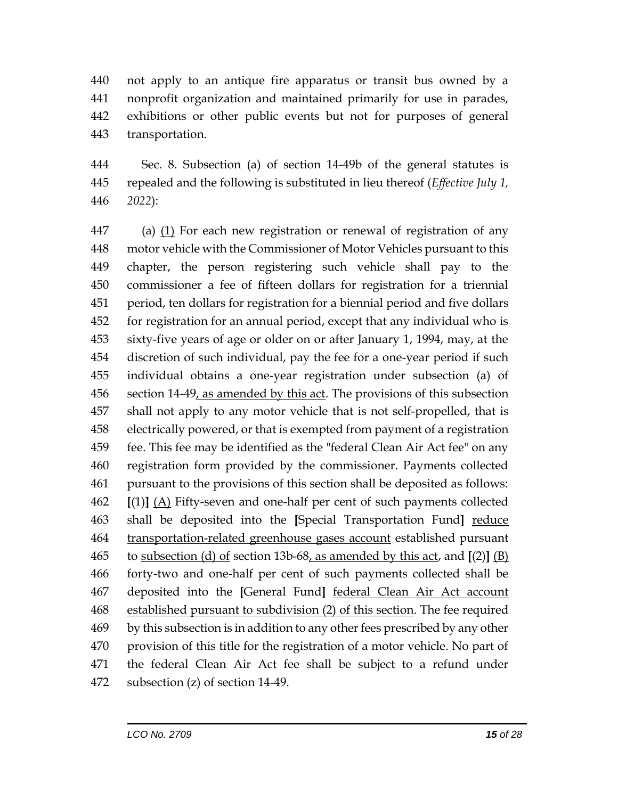not apply to an antique fire apparatus or transit bus owned by a nonprofit organization and maintained primarily for use in parades, exhibitions or other public events but not for purposes of general transportation.

 Sec. 8. Subsection (a) of section 14-49b of the general statutes is repealed and the following is substituted in lieu thereof (*Effective July 1, 2022*):

 (a) (1) For each new registration or renewal of registration of any motor vehicle with the Commissioner of Motor Vehicles pursuant to this chapter, the person registering such vehicle shall pay to the commissioner a fee of fifteen dollars for registration for a triennial period, ten dollars for registration for a biennial period and five dollars for registration for an annual period, except that any individual who is sixty-five years of age or older on or after January 1, 1994, may, at the discretion of such individual, pay the fee for a one-year period if such individual obtains a one-year registration under subsection (a) of 456 section 14-49, as amended by this act. The provisions of this subsection shall not apply to any motor vehicle that is not self-propelled, that is electrically powered, or that is exempted from payment of a registration fee. This fee may be identified as the "federal Clean Air Act fee" on any registration form provided by the commissioner. Payments collected pursuant to the provisions of this section shall be deposited as follows: **[**(1)**]** (A) Fifty-seven and one-half per cent of such payments collected shall be deposited into the **[**Special Transportation Fund**]** reduce transportation-related greenhouse gases account established pursuant to subsection (d) of section 13b-68, as amended by this act, and **[**(2)**]** (B) forty-two and one-half per cent of such payments collected shall be deposited into the **[**General Fund**]** federal Clean Air Act account established pursuant to subdivision (2) of this section. The fee required by this subsection is in addition to any other fees prescribed by any other provision of this title for the registration of a motor vehicle. No part of the federal Clean Air Act fee shall be subject to a refund under subsection (z) of section 14-49.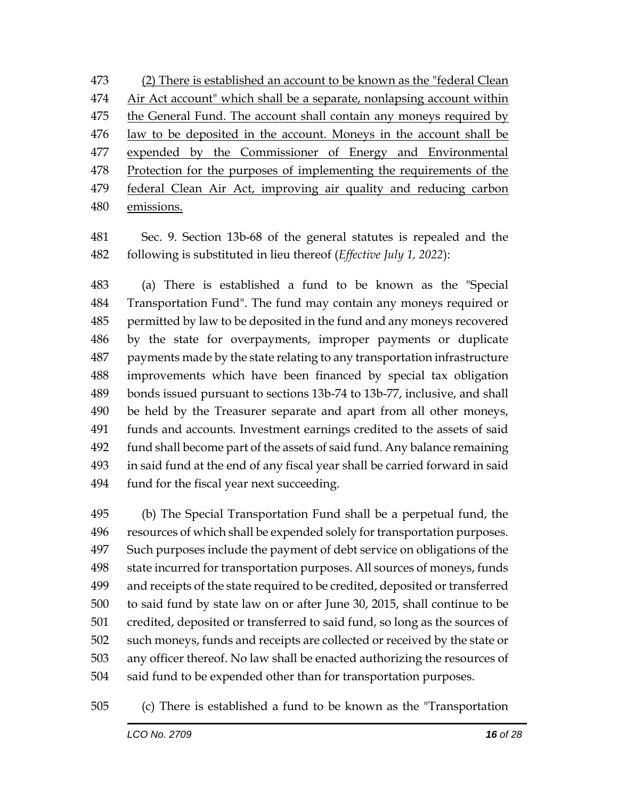(2) There is established an account to be known as the "federal Clean 474 Air Act account" which shall be a separate, nonlapsing account within the General Fund. The account shall contain any moneys required by law to be deposited in the account. Moneys in the account shall be 477 expended by the Commissioner of Energy and Environmental 478 Protection for the purposes of implementing the requirements of the federal Clean Air Act, improving air quality and reducing carbon emissions.

 Sec. 9. Section 13b-68 of the general statutes is repealed and the following is substituted in lieu thereof (*Effective July 1, 2022*):

 (a) There is established a fund to be known as the "Special Transportation Fund". The fund may contain any moneys required or permitted by law to be deposited in the fund and any moneys recovered by the state for overpayments, improper payments or duplicate payments made by the state relating to any transportation infrastructure improvements which have been financed by special tax obligation bonds issued pursuant to sections 13b-74 to 13b-77, inclusive, and shall be held by the Treasurer separate and apart from all other moneys, funds and accounts. Investment earnings credited to the assets of said fund shall become part of the assets of said fund. Any balance remaining in said fund at the end of any fiscal year shall be carried forward in said fund for the fiscal year next succeeding.

 (b) The Special Transportation Fund shall be a perpetual fund, the resources of which shall be expended solely for transportation purposes. Such purposes include the payment of debt service on obligations of the state incurred for transportation purposes. All sources of moneys, funds and receipts of the state required to be credited, deposited or transferred to said fund by state law on or after June 30, 2015, shall continue to be credited, deposited or transferred to said fund, so long as the sources of such moneys, funds and receipts are collected or received by the state or any officer thereof. No law shall be enacted authorizing the resources of said fund to be expended other than for transportation purposes.

(c) There is established a fund to be known as the "Transportation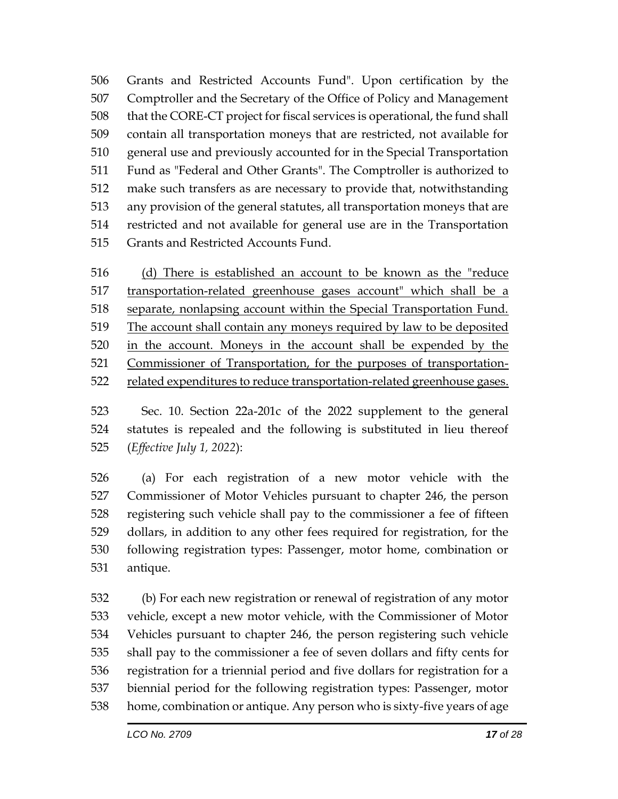Grants and Restricted Accounts Fund". Upon certification by the Comptroller and the Secretary of the Office of Policy and Management that the CORE-CT project for fiscal services is operational, the fund shall contain all transportation moneys that are restricted, not available for general use and previously accounted for in the Special Transportation Fund as "Federal and Other Grants". The Comptroller is authorized to make such transfers as are necessary to provide that, notwithstanding any provision of the general statutes, all transportation moneys that are restricted and not available for general use are in the Transportation Grants and Restricted Accounts Fund.

 (d) There is established an account to be known as the "reduce transportation-related greenhouse gases account" which shall be a 518 separate, nonlapsing account within the Special Transportation Fund. The account shall contain any moneys required by law to be deposited in the account. Moneys in the account shall be expended by the Commissioner of Transportation, for the purposes of transportation-522 related expenditures to reduce transportation-related greenhouse gases.

 Sec. 10. Section 22a-201c of the 2022 supplement to the general statutes is repealed and the following is substituted in lieu thereof (*Effective July 1, 2022*):

 (a) For each registration of a new motor vehicle with the Commissioner of Motor Vehicles pursuant to chapter 246, the person registering such vehicle shall pay to the commissioner a fee of fifteen dollars, in addition to any other fees required for registration, for the following registration types: Passenger, motor home, combination or antique.

 (b) For each new registration or renewal of registration of any motor vehicle, except a new motor vehicle, with the Commissioner of Motor Vehicles pursuant to chapter 246, the person registering such vehicle shall pay to the commissioner a fee of seven dollars and fifty cents for registration for a triennial period and five dollars for registration for a biennial period for the following registration types: Passenger, motor home, combination or antique. Any person who is sixty-five years of age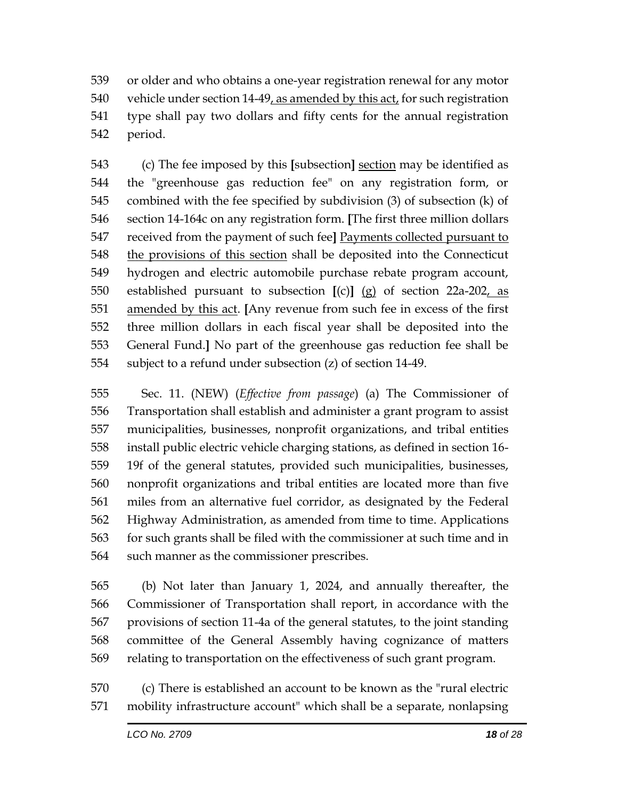or older and who obtains a one-year registration renewal for any motor vehicle under section 14-49, as amended by this act, for such registration type shall pay two dollars and fifty cents for the annual registration period.

 (c) The fee imposed by this **[**subsection**]** section may be identified as the "greenhouse gas reduction fee" on any registration form, or combined with the fee specified by subdivision (3) of subsection (k) of section 14-164c on any registration form. **[**The first three million dollars received from the payment of such fee**]** Payments collected pursuant to the provisions of this section shall be deposited into the Connecticut hydrogen and electric automobile purchase rebate program account, established pursuant to subsection **[**(c)**]** (g) of section 22a-202, as amended by this act. **[**Any revenue from such fee in excess of the first three million dollars in each fiscal year shall be deposited into the General Fund.**]** No part of the greenhouse gas reduction fee shall be subject to a refund under subsection (z) of section 14-49.

 Sec. 11. (NEW) (*Effective from passage*) (a) The Commissioner of Transportation shall establish and administer a grant program to assist municipalities, businesses, nonprofit organizations, and tribal entities install public electric vehicle charging stations, as defined in section 16- 19f of the general statutes, provided such municipalities, businesses, nonprofit organizations and tribal entities are located more than five miles from an alternative fuel corridor, as designated by the Federal Highway Administration, as amended from time to time. Applications for such grants shall be filed with the commissioner at such time and in such manner as the commissioner prescribes.

 (b) Not later than January 1, 2024, and annually thereafter, the Commissioner of Transportation shall report, in accordance with the provisions of section 11-4a of the general statutes, to the joint standing committee of the General Assembly having cognizance of matters relating to transportation on the effectiveness of such grant program.

 (c) There is established an account to be known as the "rural electric mobility infrastructure account" which shall be a separate, nonlapsing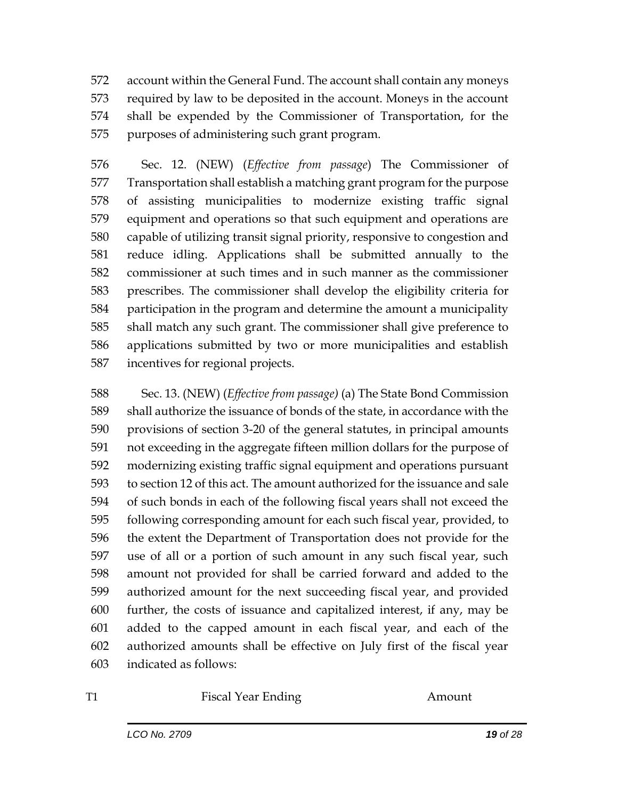account within the General Fund. The account shall contain any moneys required by law to be deposited in the account. Moneys in the account shall be expended by the Commissioner of Transportation, for the purposes of administering such grant program.

 Sec. 12. (NEW) (*Effective from passage*) The Commissioner of Transportation shall establish a matching grant program for the purpose of assisting municipalities to modernize existing traffic signal equipment and operations so that such equipment and operations are capable of utilizing transit signal priority, responsive to congestion and reduce idling. Applications shall be submitted annually to the commissioner at such times and in such manner as the commissioner prescribes. The commissioner shall develop the eligibility criteria for participation in the program and determine the amount a municipality shall match any such grant. The commissioner shall give preference to applications submitted by two or more municipalities and establish incentives for regional projects.

 Sec. 13. (NEW) (*Effective from passage)* (a) The State Bond Commission shall authorize the issuance of bonds of the state, in accordance with the provisions of section 3-20 of the general statutes, in principal amounts not exceeding in the aggregate fifteen million dollars for the purpose of modernizing existing traffic signal equipment and operations pursuant to section 12 of this act. The amount authorized for the issuance and sale of such bonds in each of the following fiscal years shall not exceed the following corresponding amount for each such fiscal year, provided, to the extent the Department of Transportation does not provide for the use of all or a portion of such amount in any such fiscal year, such amount not provided for shall be carried forward and added to the authorized amount for the next succeeding fiscal year, and provided further, the costs of issuance and capitalized interest, if any, may be added to the capped amount in each fiscal year, and each of the authorized amounts shall be effective on July first of the fiscal year indicated as follows:

T1 Fiscal Year Ending Amount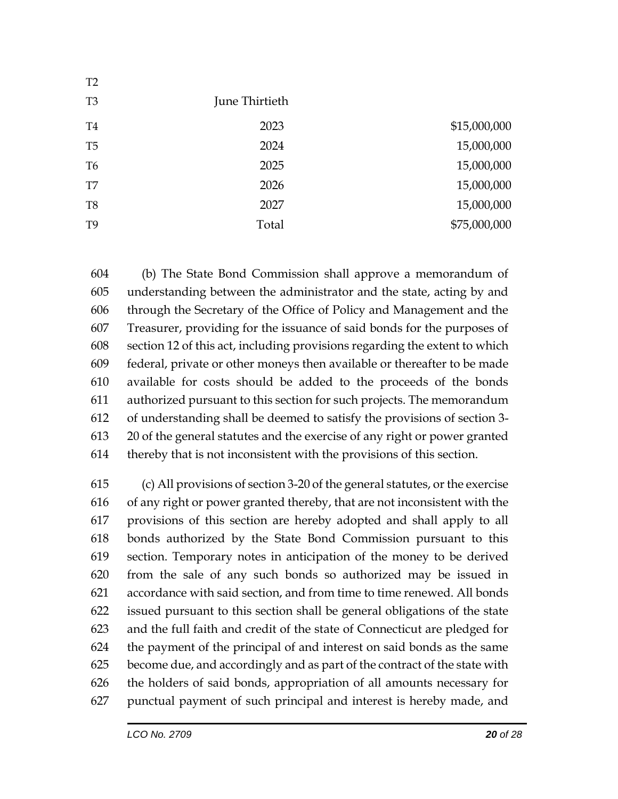| $\perp$        |                |              |
|----------------|----------------|--------------|
| T <sub>3</sub> | June Thirtieth |              |
| T <sub>4</sub> | 2023           | \$15,000,000 |
| T <sub>5</sub> | 2024           | 15,000,000   |
| T <sub>6</sub> | 2025           | 15,000,000   |
| T <sub>7</sub> | 2026           | 15,000,000   |
| T <sub>8</sub> | 2027           | 15,000,000   |
| T <sub>9</sub> | Total          | \$75,000,000 |
|                |                |              |

 (b) The State Bond Commission shall approve a memorandum of understanding between the administrator and the state, acting by and through the Secretary of the Office of Policy and Management and the Treasurer, providing for the issuance of said bonds for the purposes of section 12 of this act, including provisions regarding the extent to which federal, private or other moneys then available or thereafter to be made available for costs should be added to the proceeds of the bonds authorized pursuant to this section for such projects. The memorandum of understanding shall be deemed to satisfy the provisions of section 3- 20 of the general statutes and the exercise of any right or power granted thereby that is not inconsistent with the provisions of this section.

 (c) All provisions of section 3-20 of the general statutes, or the exercise of any right or power granted thereby, that are not inconsistent with the provisions of this section are hereby adopted and shall apply to all bonds authorized by the State Bond Commission pursuant to this section. Temporary notes in anticipation of the money to be derived from the sale of any such bonds so authorized may be issued in accordance with said section, and from time to time renewed. All bonds issued pursuant to this section shall be general obligations of the state and the full faith and credit of the state of Connecticut are pledged for the payment of the principal of and interest on said bonds as the same become due, and accordingly and as part of the contract of the state with the holders of said bonds, appropriation of all amounts necessary for punctual payment of such principal and interest is hereby made, and

 $T22$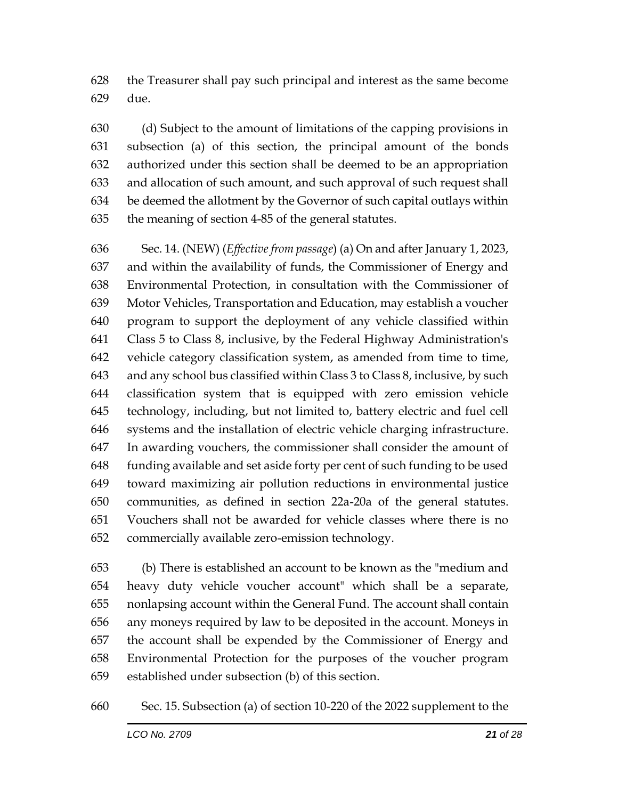the Treasurer shall pay such principal and interest as the same become due.

 (d) Subject to the amount of limitations of the capping provisions in subsection (a) of this section, the principal amount of the bonds authorized under this section shall be deemed to be an appropriation and allocation of such amount, and such approval of such request shall be deemed the allotment by the Governor of such capital outlays within the meaning of section 4-85 of the general statutes.

 Sec. 14. (NEW) (*Effective from passage*) (a) On and after January 1, 2023, and within the availability of funds, the Commissioner of Energy and Environmental Protection, in consultation with the Commissioner of Motor Vehicles, Transportation and Education, may establish a voucher program to support the deployment of any vehicle classified within Class 5 to Class 8, inclusive, by the Federal Highway Administration's vehicle category classification system, as amended from time to time, and any school bus classified within Class 3 to Class 8, inclusive, by such classification system that is equipped with zero emission vehicle technology, including, but not limited to, battery electric and fuel cell systems and the installation of electric vehicle charging infrastructure. In awarding vouchers, the commissioner shall consider the amount of funding available and set aside forty per cent of such funding to be used toward maximizing air pollution reductions in environmental justice communities, as defined in section 22a-20a of the general statutes. Vouchers shall not be awarded for vehicle classes where there is no commercially available zero-emission technology.

 (b) There is established an account to be known as the "medium and heavy duty vehicle voucher account" which shall be a separate, nonlapsing account within the General Fund. The account shall contain any moneys required by law to be deposited in the account. Moneys in the account shall be expended by the Commissioner of Energy and Environmental Protection for the purposes of the voucher program established under subsection (b) of this section.

Sec. 15. Subsection (a) of section 10-220 of the 2022 supplement to the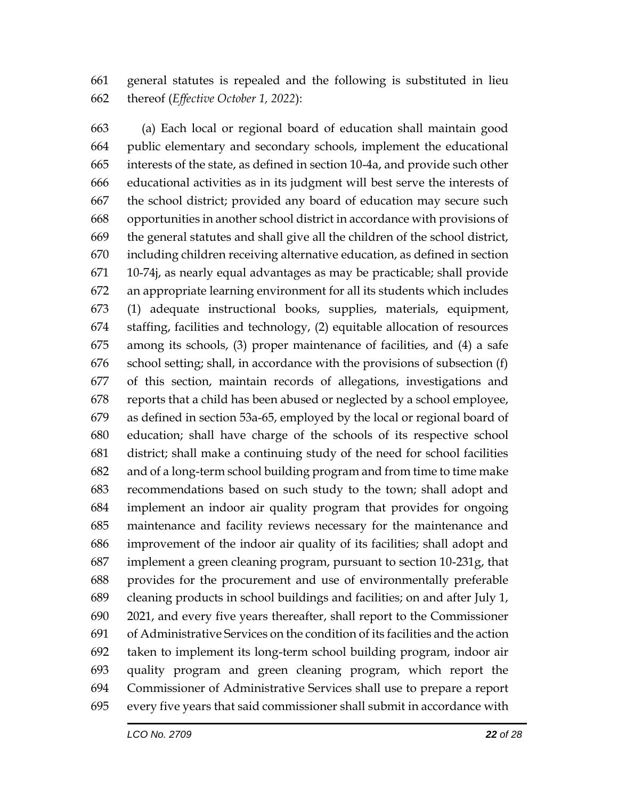general statutes is repealed and the following is substituted in lieu thereof (*Effective October 1, 2022*):

 (a) Each local or regional board of education shall maintain good public elementary and secondary schools, implement the educational interests of the state, as defined in section 10-4a, and provide such other educational activities as in its judgment will best serve the interests of the school district; provided any board of education may secure such opportunities in another school district in accordance with provisions of the general statutes and shall give all the children of the school district, including children receiving alternative education, as defined in section 10-74j, as nearly equal advantages as may be practicable; shall provide an appropriate learning environment for all its students which includes (1) adequate instructional books, supplies, materials, equipment, staffing, facilities and technology, (2) equitable allocation of resources among its schools, (3) proper maintenance of facilities, and (4) a safe school setting; shall, in accordance with the provisions of subsection (f) of this section, maintain records of allegations, investigations and reports that a child has been abused or neglected by a school employee, as defined in section 53a-65, employed by the local or regional board of education; shall have charge of the schools of its respective school district; shall make a continuing study of the need for school facilities and of a long-term school building program and from time to time make recommendations based on such study to the town; shall adopt and implement an indoor air quality program that provides for ongoing maintenance and facility reviews necessary for the maintenance and improvement of the indoor air quality of its facilities; shall adopt and implement a green cleaning program, pursuant to section 10-231g, that provides for the procurement and use of environmentally preferable cleaning products in school buildings and facilities; on and after July 1, 2021, and every five years thereafter, shall report to the Commissioner of Administrative Services on the condition of its facilities and the action taken to implement its long-term school building program, indoor air quality program and green cleaning program, which report the Commissioner of Administrative Services shall use to prepare a report every five years that said commissioner shall submit in accordance with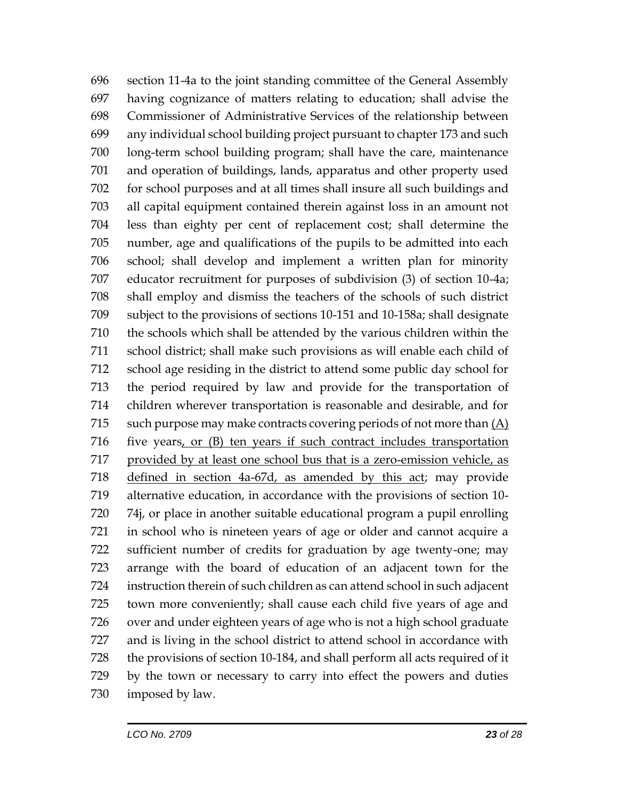section 11-4a to the joint standing committee of the General Assembly having cognizance of matters relating to education; shall advise the Commissioner of Administrative Services of the relationship between any individual school building project pursuant to chapter 173 and such long-term school building program; shall have the care, maintenance and operation of buildings, lands, apparatus and other property used for school purposes and at all times shall insure all such buildings and all capital equipment contained therein against loss in an amount not less than eighty per cent of replacement cost; shall determine the number, age and qualifications of the pupils to be admitted into each school; shall develop and implement a written plan for minority educator recruitment for purposes of subdivision (3) of section 10-4a; shall employ and dismiss the teachers of the schools of such district subject to the provisions of sections 10-151 and 10-158a; shall designate the schools which shall be attended by the various children within the school district; shall make such provisions as will enable each child of school age residing in the district to attend some public day school for the period required by law and provide for the transportation of children wherever transportation is reasonable and desirable, and for such purpose may make contracts covering periods of not more than (A) five years, or (B) ten years if such contract includes transportation provided by at least one school bus that is a zero-emission vehicle, as defined in section 4a-67d, as amended by this act; may provide alternative education, in accordance with the provisions of section 10- 74j, or place in another suitable educational program a pupil enrolling in school who is nineteen years of age or older and cannot acquire a sufficient number of credits for graduation by age twenty-one; may arrange with the board of education of an adjacent town for the instruction therein of such children as can attend school in such adjacent town more conveniently; shall cause each child five years of age and over and under eighteen years of age who is not a high school graduate and is living in the school district to attend school in accordance with the provisions of section 10-184, and shall perform all acts required of it by the town or necessary to carry into effect the powers and duties imposed by law.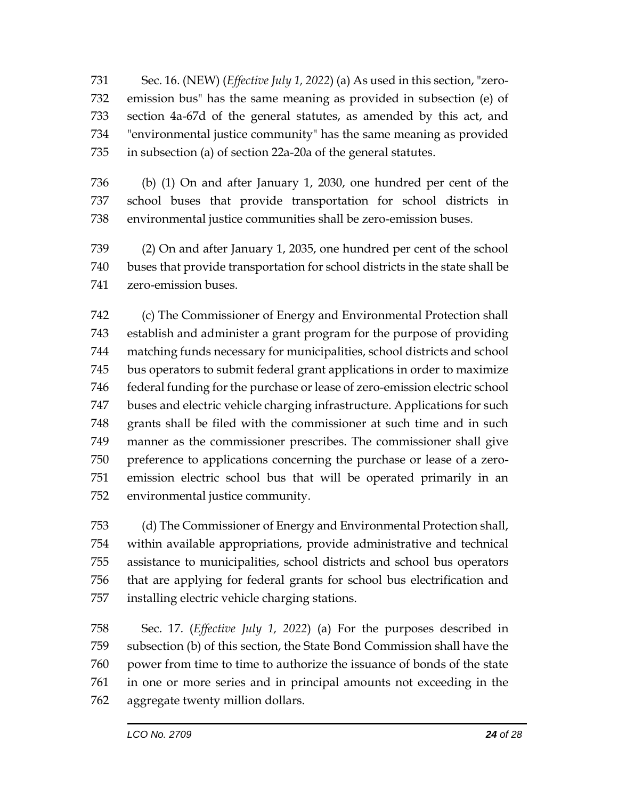Sec. 16. (NEW) (*Effective July 1, 2022*) (a) As used in this section, "zero- emission bus" has the same meaning as provided in subsection (e) of section 4a-67d of the general statutes, as amended by this act, and "environmental justice community" has the same meaning as provided in subsection (a) of section 22a-20a of the general statutes.

 (b) (1) On and after January 1, 2030, one hundred per cent of the school buses that provide transportation for school districts in environmental justice communities shall be zero-emission buses.

 (2) On and after January 1, 2035, one hundred per cent of the school buses that provide transportation for school districts in the state shall be zero-emission buses.

 (c) The Commissioner of Energy and Environmental Protection shall establish and administer a grant program for the purpose of providing matching funds necessary for municipalities, school districts and school bus operators to submit federal grant applications in order to maximize 746 federal funding for the purchase or lease of zero-emission electric school buses and electric vehicle charging infrastructure. Applications for such grants shall be filed with the commissioner at such time and in such manner as the commissioner prescribes. The commissioner shall give preference to applications concerning the purchase or lease of a zero- emission electric school bus that will be operated primarily in an environmental justice community.

 (d) The Commissioner of Energy and Environmental Protection shall, within available appropriations, provide administrative and technical assistance to municipalities, school districts and school bus operators that are applying for federal grants for school bus electrification and installing electric vehicle charging stations.

 Sec. 17. (*Effective July 1, 2022*) (a) For the purposes described in subsection (b) of this section, the State Bond Commission shall have the power from time to time to authorize the issuance of bonds of the state in one or more series and in principal amounts not exceeding in the aggregate twenty million dollars.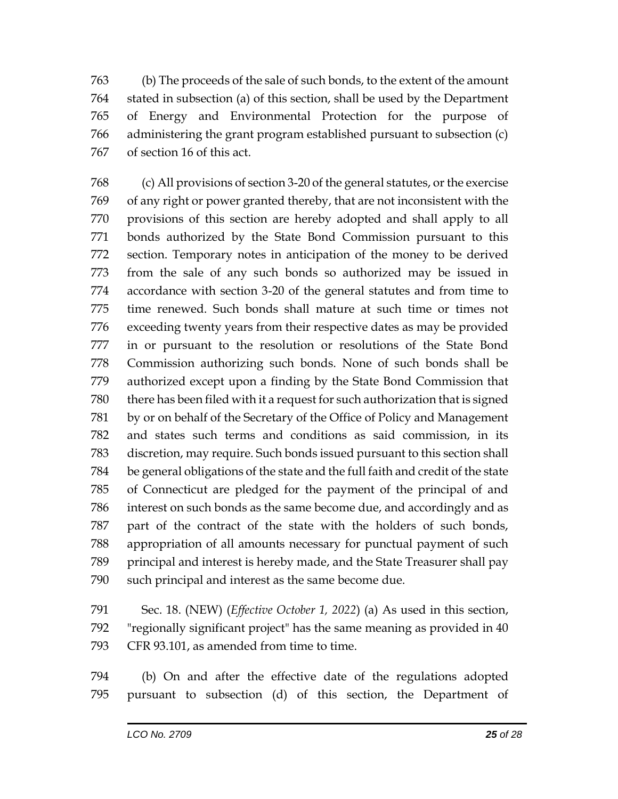(b) The proceeds of the sale of such bonds, to the extent of the amount stated in subsection (a) of this section, shall be used by the Department of Energy and Environmental Protection for the purpose of administering the grant program established pursuant to subsection (c) of section 16 of this act.

 (c) All provisions of section 3-20 of the general statutes, or the exercise of any right or power granted thereby, that are not inconsistent with the provisions of this section are hereby adopted and shall apply to all bonds authorized by the State Bond Commission pursuant to this section. Temporary notes in anticipation of the money to be derived from the sale of any such bonds so authorized may be issued in accordance with section 3-20 of the general statutes and from time to time renewed. Such bonds shall mature at such time or times not exceeding twenty years from their respective dates as may be provided in or pursuant to the resolution or resolutions of the State Bond Commission authorizing such bonds. None of such bonds shall be authorized except upon a finding by the State Bond Commission that there has been filed with it a request for such authorization that is signed by or on behalf of the Secretary of the Office of Policy and Management and states such terms and conditions as said commission, in its discretion, may require. Such bonds issued pursuant to this section shall be general obligations of the state and the full faith and credit of the state of Connecticut are pledged for the payment of the principal of and interest on such bonds as the same become due, and accordingly and as part of the contract of the state with the holders of such bonds, appropriation of all amounts necessary for punctual payment of such principal and interest is hereby made, and the State Treasurer shall pay such principal and interest as the same become due.

 Sec. 18. (NEW) (*Effective October 1, 2022*) (a) As used in this section, "regionally significant project" has the same meaning as provided in 40 CFR 93.101, as amended from time to time.

 (b) On and after the effective date of the regulations adopted pursuant to subsection (d) of this section, the Department of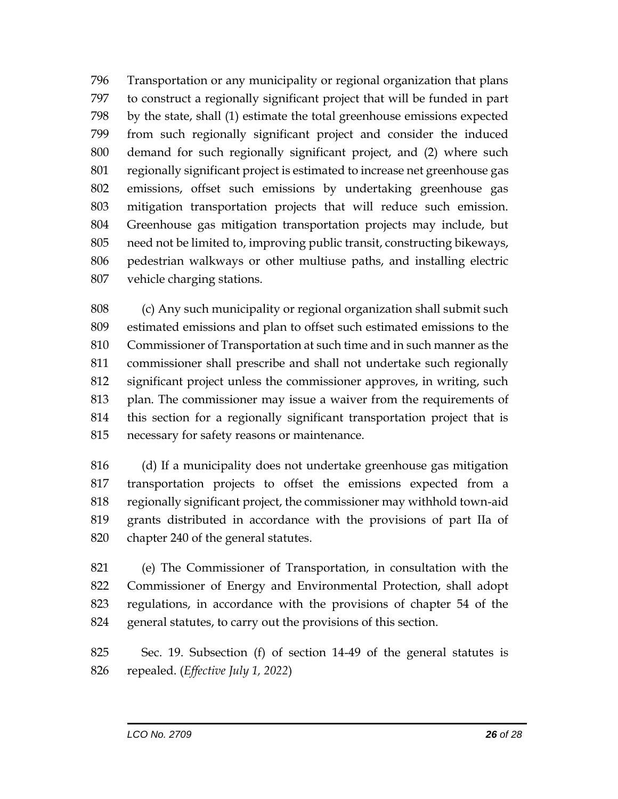Transportation or any municipality or regional organization that plans to construct a regionally significant project that will be funded in part by the state, shall (1) estimate the total greenhouse emissions expected from such regionally significant project and consider the induced demand for such regionally significant project, and (2) where such regionally significant project is estimated to increase net greenhouse gas emissions, offset such emissions by undertaking greenhouse gas mitigation transportation projects that will reduce such emission. Greenhouse gas mitigation transportation projects may include, but need not be limited to, improving public transit, constructing bikeways, pedestrian walkways or other multiuse paths, and installing electric vehicle charging stations.

 (c) Any such municipality or regional organization shall submit such estimated emissions and plan to offset such estimated emissions to the Commissioner of Transportation at such time and in such manner as the commissioner shall prescribe and shall not undertake such regionally significant project unless the commissioner approves, in writing, such plan. The commissioner may issue a waiver from the requirements of this section for a regionally significant transportation project that is necessary for safety reasons or maintenance.

 (d) If a municipality does not undertake greenhouse gas mitigation transportation projects to offset the emissions expected from a regionally significant project, the commissioner may withhold town-aid grants distributed in accordance with the provisions of part IIa of chapter 240 of the general statutes.

 (e) The Commissioner of Transportation, in consultation with the Commissioner of Energy and Environmental Protection, shall adopt regulations, in accordance with the provisions of chapter 54 of the general statutes, to carry out the provisions of this section.

 Sec. 19. Subsection (f) of section 14-49 of the general statutes is repealed. (*Effective July 1, 2022*)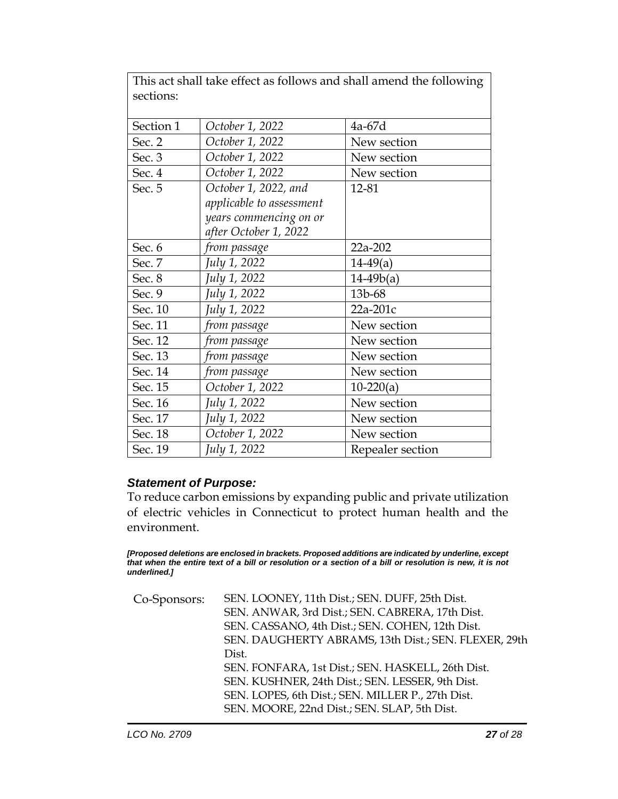|           | This act shall take effect as follows and shall amend the following |                  |
|-----------|---------------------------------------------------------------------|------------------|
| sections: |                                                                     |                  |
|           |                                                                     |                  |
| Section 1 | October 1, 2022                                                     | 4a-67d           |
| Sec. 2    | October 1, 2022                                                     | New section      |
| Sec. 3    | October 1, 2022                                                     | New section      |
| Sec. 4    | October 1, 2022                                                     | New section      |
| Sec. 5    | October 1, 2022, and                                                | 12-81            |
|           | applicable to assessment                                            |                  |
|           | years commencing on or                                              |                  |
|           | after October 1, 2022                                               |                  |
| Sec. 6    | from passage                                                        | 22a-202          |
| Sec. 7    | July 1, 2022                                                        | $14-49(a)$       |
| Sec. 8    | July 1, 2022                                                        | $14-49b(a)$      |
| Sec. 9    | July 1, 2022                                                        | 13b-68           |
| Sec. 10   | July 1, 2022                                                        | 22a-201c         |
| Sec. 11   | from passage                                                        | New section      |
| Sec. 12   | from passage                                                        | New section      |
| Sec. 13   | from passage                                                        | New section      |
| Sec. 14   | from passage                                                        | New section      |
| Sec. 15   | October 1, 2022                                                     | $10-220(a)$      |
| Sec. 16   | July 1, 2022                                                        | New section      |
| Sec. 17   | July 1, 2022                                                        | New section      |
| Sec. 18   | October 1, 2022                                                     | New section      |
| Sec. 19   | July 1, 2022                                                        | Repealer section |

## *Statement of Purpose:*

To reduce carbon emissions by expanding public and private utilization of electric vehicles in Connecticut to protect human health and the environment.

*[Proposed deletions are enclosed in brackets. Proposed additions are indicated by underline, except that when the entire text of a bill or resolution or a section of a bill or resolution is new, it is not underlined.]*

| Co-Sponsors: | SEN. LOONEY, 11th Dist.; SEN. DUFF, 25th Dist.<br>SEN. ANWAR, 3rd Dist.; SEN. CABRERA, 17th Dist. |
|--------------|---------------------------------------------------------------------------------------------------|
|              | SEN. CASSANO, 4th Dist.; SEN. COHEN, 12th Dist.                                                   |
|              | SEN. DAUGHERTY ABRAMS, 13th Dist.; SEN. FLEXER, 29th                                              |
|              | Dist.                                                                                             |
|              | SEN. FONFARA, 1st Dist.; SEN. HASKELL, 26th Dist.                                                 |
|              | SEN. KUSHNER, 24th Dist.; SEN. LESSER, 9th Dist.                                                  |
|              | SEN. LOPES, 6th Dist.; SEN. MILLER P., 27th Dist.                                                 |
|              | SEN. MOORE, 22nd Dist.; SEN. SLAP, 5th Dist.                                                      |